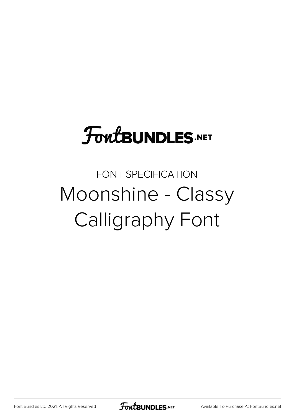## **FoutBUNDLES.NET**

## FONT SPECIFICATION Moonshine - Classy Calligraphy Font

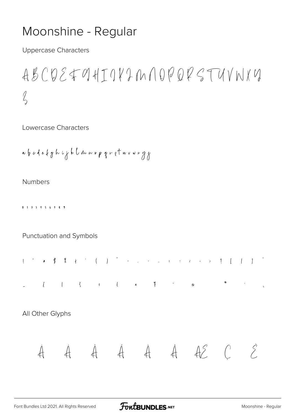## Moonshine - Regular

**Uppercase Characters** 

 $ABCDEFOHTQYJMQYQZZTUVNYY$  $\sqrt{2}$ 

Lowercase Characters

**Numbers** 

0 1 9 5 1 5 6 1 8 7

Punctuation and Symbols



 $\overline{0}$ 

All Other Glyphs

$$
\dot{A} \qquad \dot{A} \qquad \dot{A} \qquad \dot{A} \qquad \dot{A} \qquad \dot{A} \qquad \dot{A} \quad \mathcal{E} \qquad \quad \mathcal{E}
$$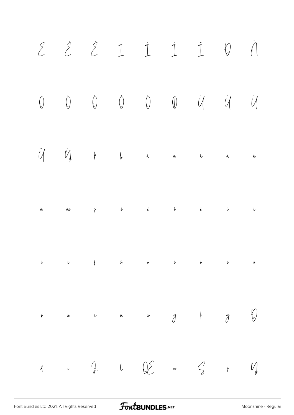

FontBUNDLES.NET